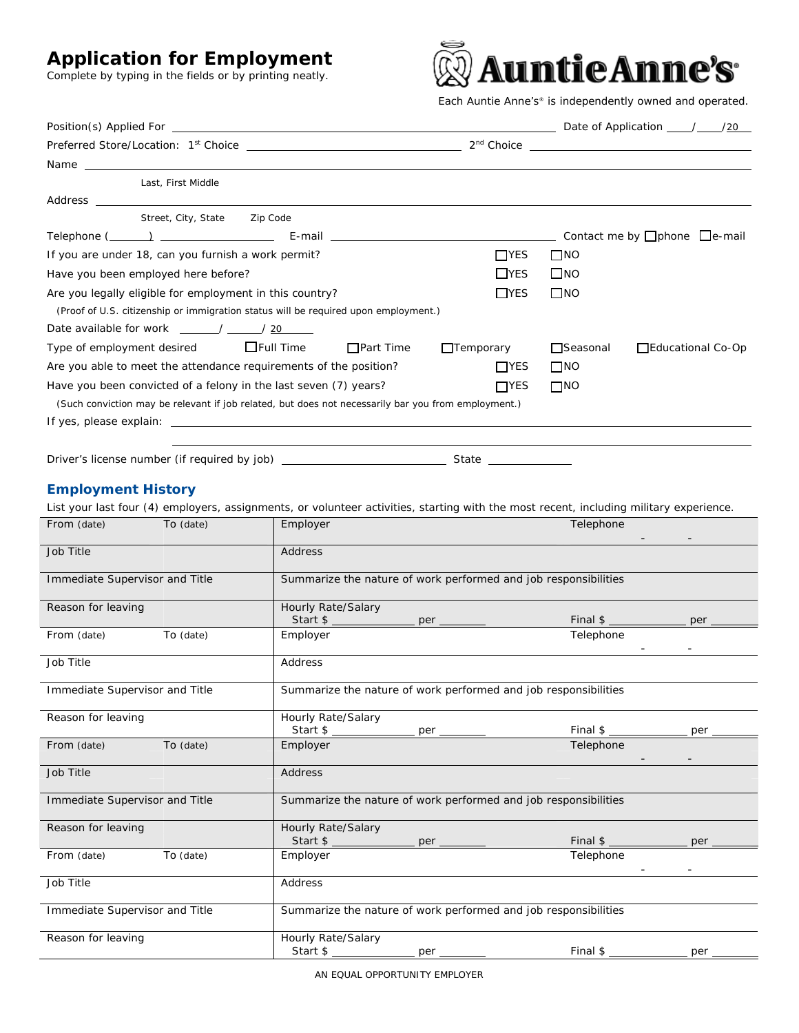## **Application for Employment**

Complete by typing in the fields or by printing neatly.



*Each Auntie Anne's® is independently owned and operated.* 

| Name and the contract of the contract of the contract of the contract of the contract of the contract of the contract of the contract of the contract of the contract of the contract of the contract of the contract of the c |                                                                 |                  |                                          |                   |                    |  |
|--------------------------------------------------------------------------------------------------------------------------------------------------------------------------------------------------------------------------------|-----------------------------------------------------------------|------------------|------------------------------------------|-------------------|--------------------|--|
| Last, First Middle                                                                                                                                                                                                             |                                                                 |                  |                                          |                   |                    |  |
|                                                                                                                                                                                                                                |                                                                 |                  |                                          |                   |                    |  |
| Street, City, State Zip Code                                                                                                                                                                                                   |                                                                 |                  |                                          |                   |                    |  |
|                                                                                                                                                                                                                                |                                                                 |                  | Contact me by $\Box$ phone $\Box$ e-mail |                   |                    |  |
| If you are under 18, can you furnish a work permit?                                                                                                                                                                            |                                                                 | $\Box$ YES       | $\square$ NO                             |                   |                    |  |
| Have you been employed here before?                                                                                                                                                                                            |                                                                 | $\Box$ YES       | $\square$ NO                             |                   |                    |  |
| Are you legally eligible for employment in this country?                                                                                                                                                                       |                                                                 | $\Box$ YES       | $\square$ NO                             |                   |                    |  |
| (Proof of U.S. citizenship or immigration status will be required upon employment.)                                                                                                                                            |                                                                 |                  |                                          |                   |                    |  |
| Date available for work _____/ ____/ 20                                                                                                                                                                                        |                                                                 |                  |                                          |                   |                    |  |
| Type of employment desired $\Box$ Full Time                                                                                                                                                                                    | $\Box$ Part Time                                                | $\Box$ Temporary | $\Box$ Seasonal                          | Educational Co-Op |                    |  |
| Are you able to meet the attendance requirements of the position?                                                                                                                                                              |                                                                 | $\Box$ YES       | $\square$ NO                             |                   |                    |  |
| Have you been convicted of a felony in the last seven (7) years?                                                                                                                                                               |                                                                 | $\Box$ YES       | $\square$ NO                             |                   |                    |  |
| (Such conviction may be relevant if job related, but does not necessarily bar you from employment.)                                                                                                                            |                                                                 |                  |                                          |                   |                    |  |
|                                                                                                                                                                                                                                |                                                                 |                  |                                          |                   |                    |  |
|                                                                                                                                                                                                                                |                                                                 |                  |                                          |                   |                    |  |
|                                                                                                                                                                                                                                |                                                                 |                  |                                          |                   |                    |  |
|                                                                                                                                                                                                                                |                                                                 |                  |                                          |                   |                    |  |
| <b>Employment History</b>                                                                                                                                                                                                      |                                                                 |                  |                                          |                   |                    |  |
| List your last four (4) employers, assignments, or volunteer activities, starting with the most recent, including military experience.                                                                                         |                                                                 |                  |                                          |                   |                    |  |
| From (date)<br>To (date)                                                                                                                                                                                                       | Employer                                                        |                  | Telephone                                |                   |                    |  |
| Job Title                                                                                                                                                                                                                      | Address                                                         |                  |                                          |                   |                    |  |
| Immediate Supervisor and Title                                                                                                                                                                                                 |                                                                 |                  |                                          |                   |                    |  |
|                                                                                                                                                                                                                                | Summarize the nature of work performed and job responsibilities |                  |                                          |                   |                    |  |
| Reason for leaving                                                                                                                                                                                                             | Hourly Rate/Salary                                              |                  |                                          |                   |                    |  |
|                                                                                                                                                                                                                                | Start \$ __________________ per ________<br>Employer            |                  | Telephone                                |                   |                    |  |
| From (date)<br>To (date)                                                                                                                                                                                                       |                                                                 |                  |                                          |                   | the company of the |  |
| Job Title                                                                                                                                                                                                                      | Address                                                         |                  |                                          |                   |                    |  |

| JOD TILLE                      | Address                                                         |     |           |                                          |
|--------------------------------|-----------------------------------------------------------------|-----|-----------|------------------------------------------|
| Immediate Supervisor and Title | Summarize the nature of work performed and job responsibilities |     |           |                                          |
| Reason for leaving             | Hourly Rate/Salary                                              |     |           |                                          |
|                                | Start \$ __________________ per ________                        |     |           | Final \$ __________________ per ________ |
| To (date)<br>From (date)       | Employer                                                        |     | Telephone |                                          |
| Job Title                      | Address                                                         |     |           |                                          |
| Immediate Supervisor and Title | Summarize the nature of work performed and job responsibilities |     |           |                                          |
| Reason for leaving             | Hourly Rate/Salary                                              |     |           |                                          |
|                                |                                                                 |     |           | Final \$ __________________ per ________ |
| To (date)<br>From (date)       | Employer                                                        |     | Telephone |                                          |
| Job Title                      | Address                                                         |     |           |                                          |
| Immediate Supervisor and Title | Summarize the nature of work performed and job responsibilities |     |           |                                          |
| Reason for leaving             | Hourly Rate/Salary                                              |     |           |                                          |
|                                | Start \$                                                        | per | Final \$  | per                                      |

AN EQUAL OPPORTUNITY EMPLOYER